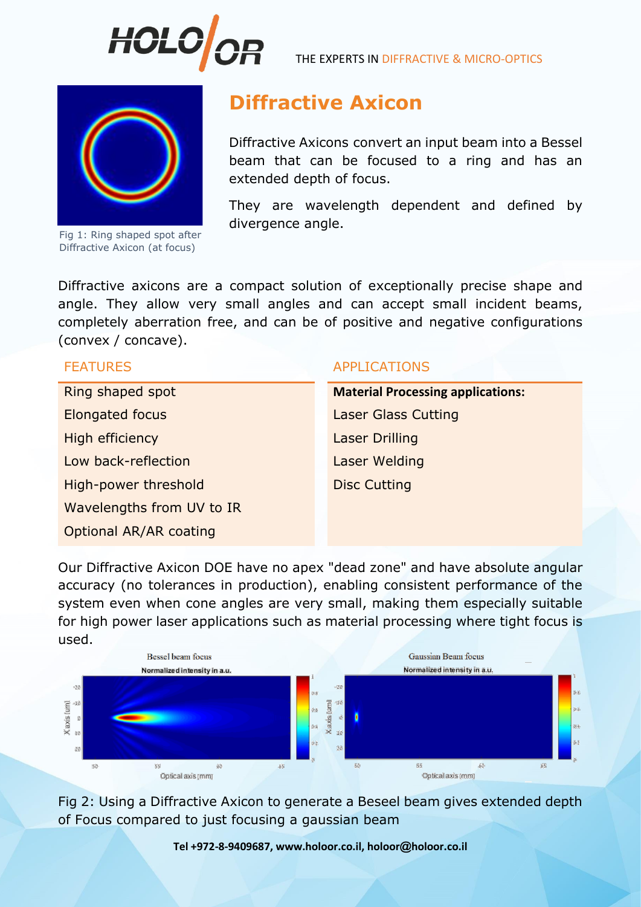

THE EXPERTS IN DIFFRACTIVE & MICRO-OPTICS



Fig 1: Ring shaped spot after Diffractive Axicon (at focus)

## **Diffractive Axicon**

Diffractive Axicons convert an input beam into a Bessel beam that can be focused to a ring and has an extended depth of focus.

They are wavelength dependent and defined by divergence angle.

Diffractive axicons are a compact solution of exceptionally precise shape and angle. They allow very small angles and can accept small incident beams, completely aberration free, and can be of positive and negative configurations (convex / concave).

**Elongated focus** Laser Glass Cutting **High efficiency Laser Drilling** Low back-reflection Laser Welding High-power threshold Disc Cutting Wavelengths from UV to IR Optional AR/AR coating

## FEATURES APPLICATIONS

Ring shaped spot **Material Processing applications:**

Our Diffractive Axicon DOE have no apex "dead zone" and have absolute angular accuracy (no tolerances in production), enabling consistent performance of the system even when cone angles are very small, making them especially suitable for high power laser applications such as material processing where tight focus is used.



Fig 2: Using a Diffractive Axicon to generate a Beseel beam gives extended depth of Focus compared to just focusing a gaussian beam

**Tel +972-8-9409687, www.holoor.co.il, holoor@holoor.co.il**